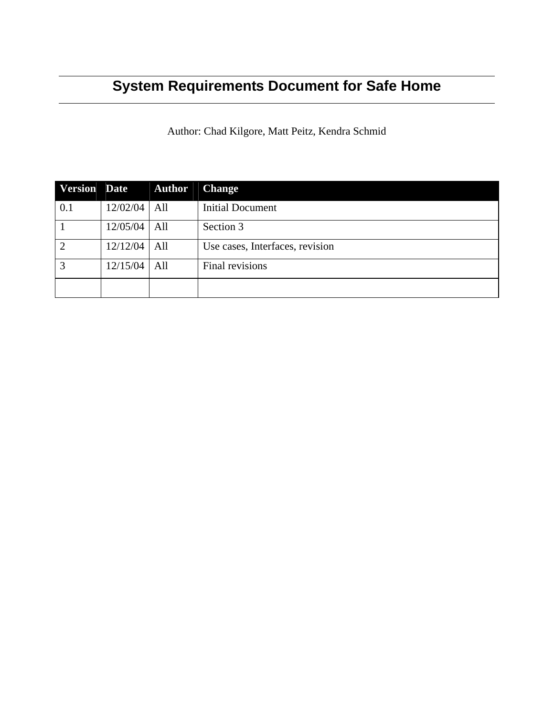# **System Requirements Document for Safe Home**

Author: Chad Kilgore, Matt Peitz, Kendra Schmid

| <b>Version</b> Date |          | <b>Author</b> | <b>Change</b>                   |
|---------------------|----------|---------------|---------------------------------|
| 0.1                 | 12/02/04 | All           | <b>Initial Document</b>         |
|                     | 12/05/04 | All           | Section 3                       |
| $\overline{2}$      | 12/12/04 | All           | Use cases, Interfaces, revision |
| 3                   | 12/15/04 | All           | Final revisions                 |
|                     |          |               |                                 |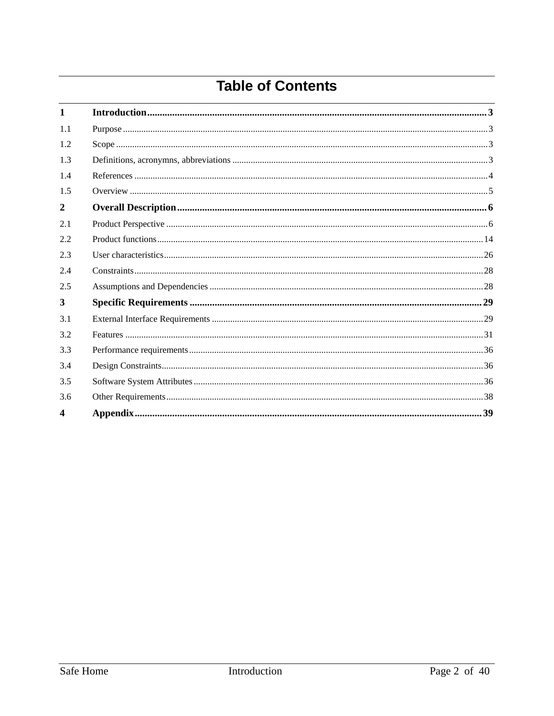# **Table of Contents**

| $\mathbf{1}$     |  |
|------------------|--|
| 1.1              |  |
| 1.2              |  |
| 1.3              |  |
| 1.4              |  |
| 1.5              |  |
| $\overline{2}$   |  |
| 2.1              |  |
| 2.2              |  |
| 2.3              |  |
| 2.4              |  |
| 2.5              |  |
| 3                |  |
| 3.1              |  |
| 3.2              |  |
| 3.3              |  |
| 3.4              |  |
| 3.5              |  |
| 3.6              |  |
| $\boldsymbol{4}$ |  |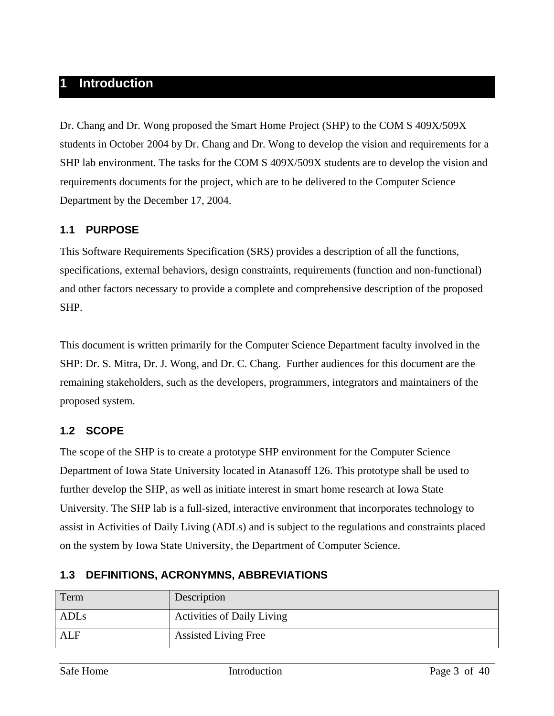# **1 Introduction**

Dr. Chang and Dr. Wong proposed the Smart Home Project (SHP) to the COM S 409X/509X students in October 2004 by Dr. Chang and Dr. Wong to develop the vision and requirements for a SHP lab environment. The tasks for the COM S 409X/509X students are to develop the vision and requirements documents for the project, which are to be delivered to the Computer Science Department by the December 17, 2004.

## **1.1 PURPOSE**

This Software Requirements Specification (SRS) provides a description of all the functions, specifications, external behaviors, design constraints, requirements (function and non-functional) and other factors necessary to provide a complete and comprehensive description of the proposed SHP.

This document is written primarily for the Computer Science Department faculty involved in the SHP: Dr. S. Mitra, Dr. J. Wong, and Dr. C. Chang. Further audiences for this document are the remaining stakeholders, such as the developers, programmers, integrators and maintainers of the proposed system.

### **1.2 SCOPE**

The scope of the SHP is to create a prototype SHP environment for the Computer Science Department of Iowa State University located in Atanasoff 126. This prototype shall be used to further develop the SHP, as well as initiate interest in smart home research at Iowa State University. The SHP lab is a full-sized, interactive environment that incorporates technology to assist in Activities of Daily Living (ADLs) and is subject to the regulations and constraints placed on the system by Iowa State University, the Department of Computer Science.

| Term             | Description                       |
|------------------|-----------------------------------|
| ADL <sub>s</sub> | <b>Activities of Daily Living</b> |
| <b>ALF</b>       | <b>Assisted Living Free</b>       |

# **1.3 DEFINITIONS, ACRONYMNS, ABBREVIATIONS**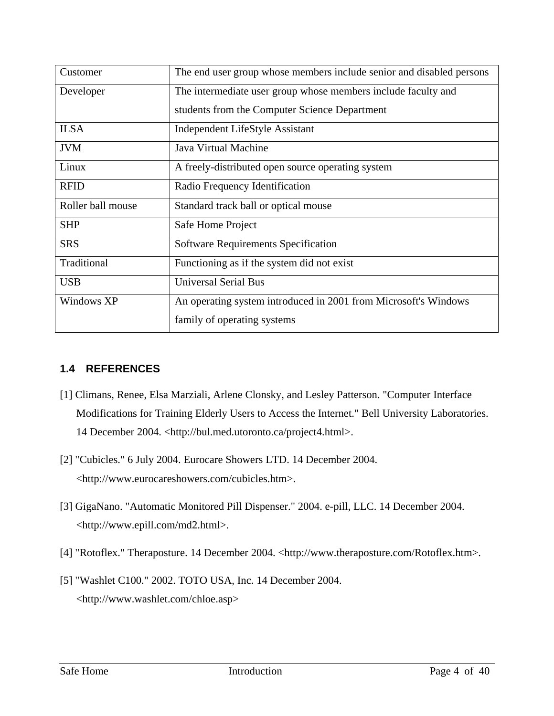| Customer          | The end user group whose members include senior and disabled persons |  |  |
|-------------------|----------------------------------------------------------------------|--|--|
| Developer         | The intermediate user group whose members include faculty and        |  |  |
|                   | students from the Computer Science Department                        |  |  |
| <b>ILSA</b>       | <b>Independent LifeStyle Assistant</b>                               |  |  |
| <b>JVM</b>        | Java Virtual Machine                                                 |  |  |
| Linux             | A freely-distributed open source operating system                    |  |  |
| <b>RFID</b>       | Radio Frequency Identification                                       |  |  |
| Roller ball mouse | Standard track ball or optical mouse                                 |  |  |
| <b>SHP</b>        | Safe Home Project                                                    |  |  |
| <b>SRS</b>        | <b>Software Requirements Specification</b>                           |  |  |
| Traditional       | Functioning as if the system did not exist                           |  |  |
| <b>USB</b>        | <b>Universal Serial Bus</b>                                          |  |  |
| Windows XP        | An operating system introduced in 2001 from Microsoft's Windows      |  |  |
|                   | family of operating systems                                          |  |  |

# **1.4 REFERENCES**

- [1] Climans, Renee, Elsa Marziali, Arlene Clonsky, and Lesley Patterson. "Computer Interface Modifications for Training Elderly Users to Access the Internet." Bell University Laboratories. 14 December 2004. <http://bul.med.utoronto.ca/project4.html>.
- [2] "Cubicles." 6 July 2004. Eurocare Showers LTD. 14 December 2004. <http://www.eurocareshowers.com/cubicles.htm>.
- [3] GigaNano. "Automatic Monitored Pill Dispenser." 2004. e-pill, LLC. 14 December 2004. <http://www.epill.com/md2.html>.
- [4] "Rotoflex." Theraposture. 14 December 2004. <http://www.theraposture.com/Rotoflex.htm>.
- [5] "Washlet C100." 2002. TOTO USA, Inc. 14 December 2004. <http://www.washlet.com/chloe.asp>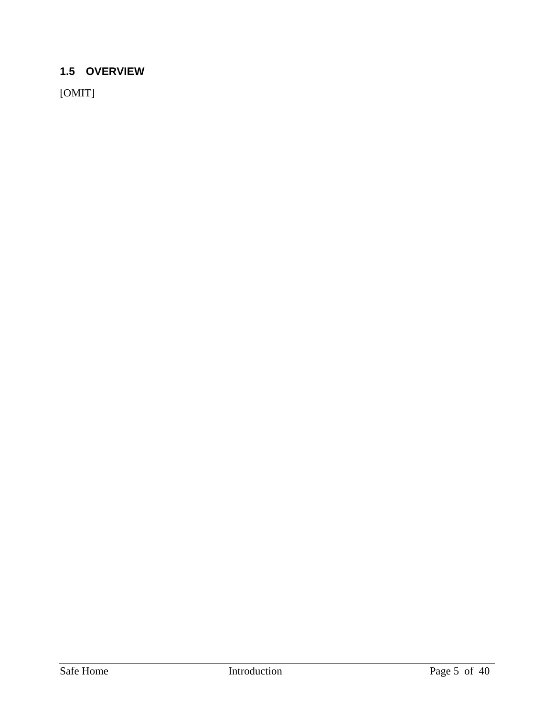# **1.5 OVERVIEW**

[OMIT]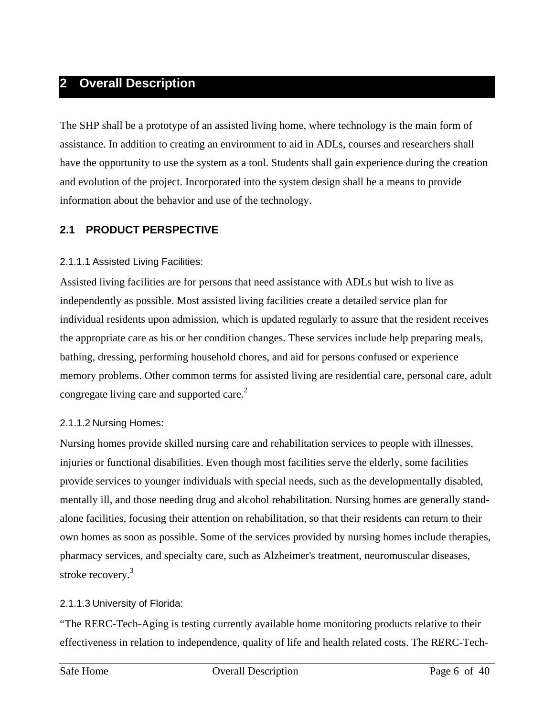# **2 Overall Description**

The SHP shall be a prototype of an assisted living home, where technology is the main form of assistance. In addition to creating an environment to aid in ADLs, courses and researchers shall have the opportunity to use the system as a tool. Students shall gain experience during the creation and evolution of the project. Incorporated into the system design shall be a means to provide information about the behavior and use of the technology.

# **2.1 PRODUCT PERSPECTIVE**

### 2.1.1.1 Assisted Living Facilities:

Assisted living facilities are for persons that need assistance with ADLs but wish to live as independently as possible. Most assisted living facilities create a detailed service plan for individual residents upon admission, which is updated regularly to assure that the resident receives the appropriate care as his or her condition changes. These services include help preparing meals, bathing, dressing, performing household chores, and aid for persons confused or experience memory problems. Other common terms for assisted living are residential care, personal care, adult congregate living care and supported care.<sup>2</sup>

### 2.1.1.2 Nursing Homes:

Nursing homes provide skilled nursing care and rehabilitation services to people with illnesses, injuries or functional disabilities. Even though most facilities serve the elderly, some facilities provide services to younger individuals with special needs, such as the developmentally disabled, mentally ill, and those needing drug and alcohol rehabilitation. Nursing homes are generally standalone facilities, focusing their attention on rehabilitation, so that their residents can return to their own homes as soon as possible. Some of the services provided by nursing homes include therapies, pharmacy services, and specialty care, such as Alzheimer's treatment, neuromuscular diseases, stroke recovery.<sup>3</sup>

### 2.1.1.3 University of Florida:

"The RERC-Tech-Aging is testing currently available home monitoring products relative to their effectiveness in relation to independence, quality of life and health related costs. The RERC-Tech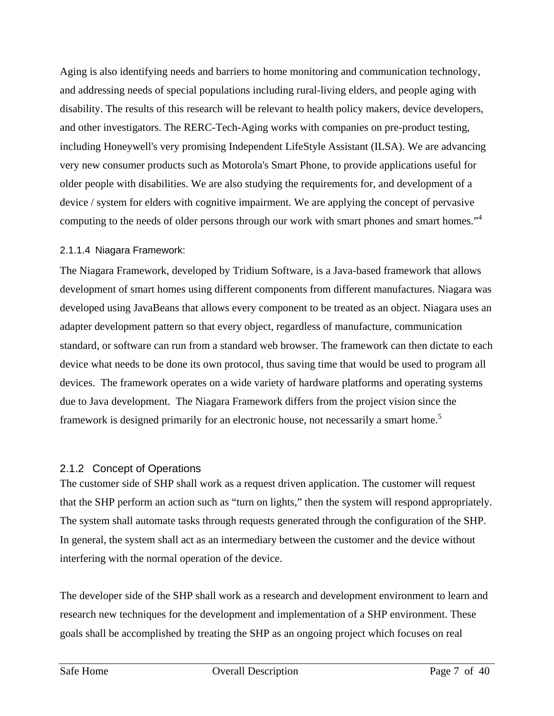Aging is also identifying needs and barriers to home monitoring and communication technology, and addressing needs of special populations including rural-living elders, and people aging with disability. The results of this research will be relevant to health policy makers, device developers, and other investigators. The RERC-Tech-Aging works with companies on pre-product testing, including Honeywell's very promising Independent LifeStyle Assistant (ILSA). We are advancing very new consumer products such as Motorola's Smart Phone, to provide applications useful for older people with disabilities. We are also studying the requirements for, and development of a device / system for elders with cognitive impairment. We are applying the concept of pervasive computing to the needs of older persons through our work with smart phones and smart homes."<sup>4</sup>

### 2.1.1.4 Niagara Framework:

The Niagara Framework, developed by Tridium Software, is a Java-based framework that allows development of smart homes using different components from different manufactures. Niagara was developed using JavaBeans that allows every component to be treated as an object. Niagara uses an adapter development pattern so that every object, regardless of manufacture, communication standard, or software can run from a standard web browser. The framework can then dictate to each device what needs to be done its own protocol, thus saving time that would be used to program all devices. The framework operates on a wide variety of hardware platforms and operating systems due to Java development. The Niagara Framework differs from the project vision since the framework is designed primarily for an electronic house, not necessarily a smart home.<sup>5</sup>

# 2.1.2 Concept of Operations

The customer side of SHP shall work as a request driven application. The customer will request that the SHP perform an action such as "turn on lights," then the system will respond appropriately. The system shall automate tasks through requests generated through the configuration of the SHP. In general, the system shall act as an intermediary between the customer and the device without interfering with the normal operation of the device.

The developer side of the SHP shall work as a research and development environment to learn and research new techniques for the development and implementation of a SHP environment. These goals shall be accomplished by treating the SHP as an ongoing project which focuses on real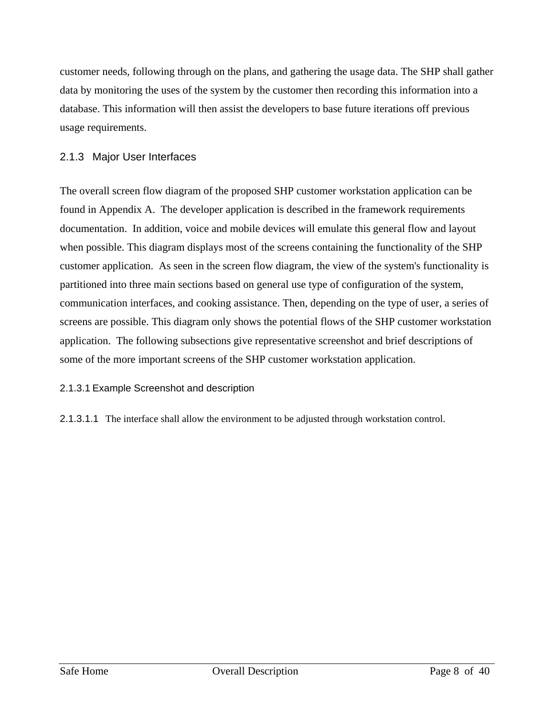customer needs, following through on the plans, and gathering the usage data. The SHP shall gather data by monitoring the uses of the system by the customer then recording this information into a database. This information will then assist the developers to base future iterations off previous usage requirements.

### 2.1.3 Major User Interfaces

The overall screen flow diagram of the proposed SHP customer workstation application can be found in Appendix A. The developer application is described in the framework requirements documentation. In addition, voice and mobile devices will emulate this general flow and layout when possible. This diagram displays most of the screens containing the functionality of the SHP customer application. As seen in the screen flow diagram, the view of the system's functionality is partitioned into three main sections based on general use type of configuration of the system, communication interfaces, and cooking assistance. Then, depending on the type of user, a series of screens are possible. This diagram only shows the potential flows of the SHP customer workstation application. The following subsections give representative screenshot and brief descriptions of some of the more important screens of the SHP customer workstation application.

2.1.3.1 Example Screenshot and description

2.1.3.1.1 The interface shall allow the environment to be adjusted through workstation control.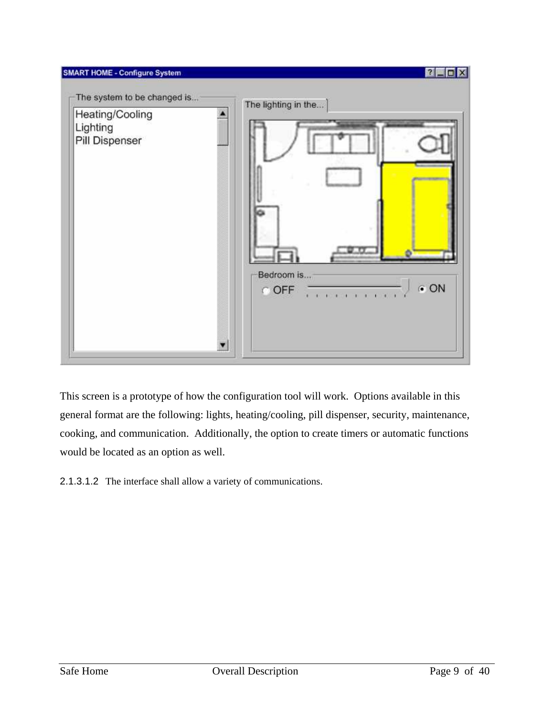

This screen is a prototype of how the configuration tool will work. Options available in this general format are the following: lights, heating/cooling, pill dispenser, security, maintenance, cooking, and communication. Additionally, the option to create timers or automatic functions would be located as an option as well.

2.1.3.1.2 The interface shall allow a variety of communications.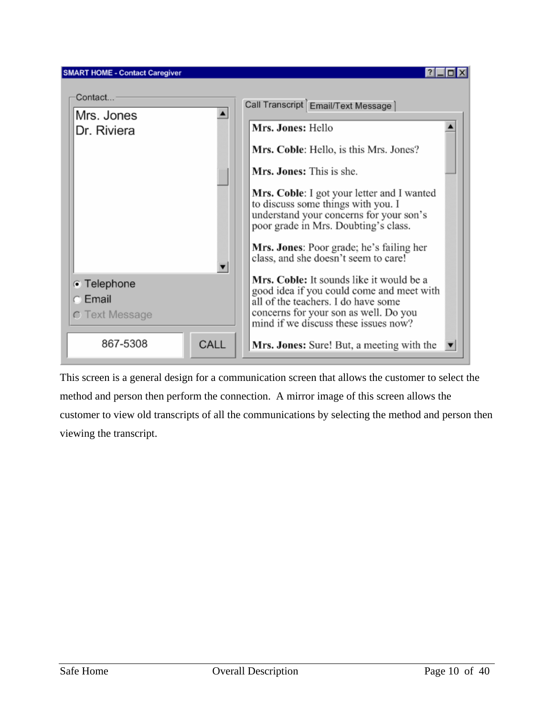

This screen is a general design for a communication screen that allows the customer to select the method and person then perform the connection. A mirror image of this screen allows the customer to view old transcripts of all the communications by selecting the method and person then viewing the transcript.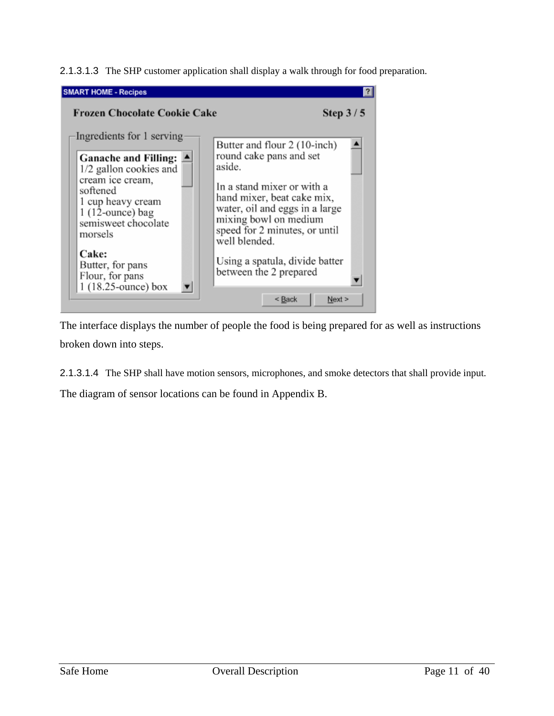2.1.3.1.3 The SHP customer application shall display a walk through for food preparation.



The interface displays the number of people the food is being prepared for as well as instructions broken down into steps.

2.1.3.1.4 The SHP shall have motion sensors, microphones, and smoke detectors that shall provide input.

The diagram of sensor locations can be found in Appendix B.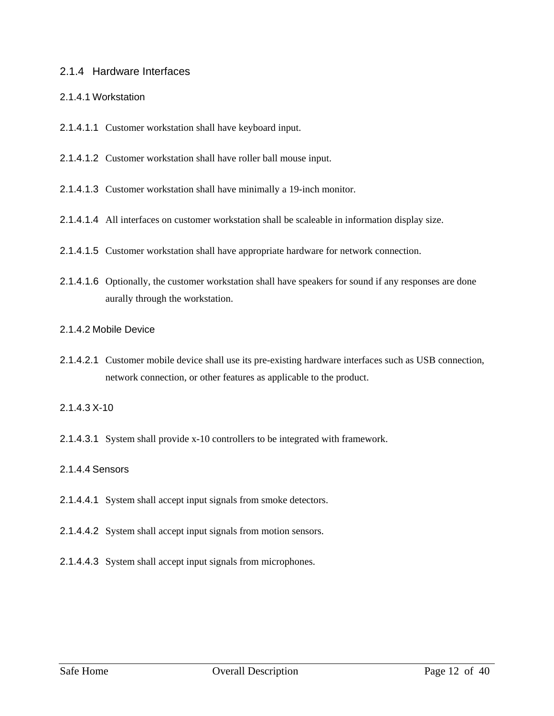### 2.1.4 Hardware Interfaces

### 2.1.4.1 Workstation

- 2.1.4.1.1 Customer workstation shall have keyboard input.
- 2.1.4.1.2 Customer workstation shall have roller ball mouse input.
- 2.1.4.1.3 Customer workstation shall have minimally a 19-inch monitor.
- 2.1.4.1.4 All interfaces on customer workstation shall be scaleable in information display size.
- 2.1.4.1.5 Customer workstation shall have appropriate hardware for network connection.
- 2.1.4.1.6 Optionally, the customer workstation shall have speakers for sound if any responses are done aurally through the workstation.

### 2.1.4.2 Mobile Device

2.1.4.2.1 Customer mobile device shall use its pre-existing hardware interfaces such as USB connection, network connection, or other features as applicable to the product.

### 2.1.4.3 X-10

2.1.4.3.1 System shall provide x-10 controllers to be integrated with framework.

### 2.1.4.4 Sensors

- 2.1.4.4.1 System shall accept input signals from smoke detectors.
- 2.1.4.4.2 System shall accept input signals from motion sensors.
- 2.1.4.4.3 System shall accept input signals from microphones.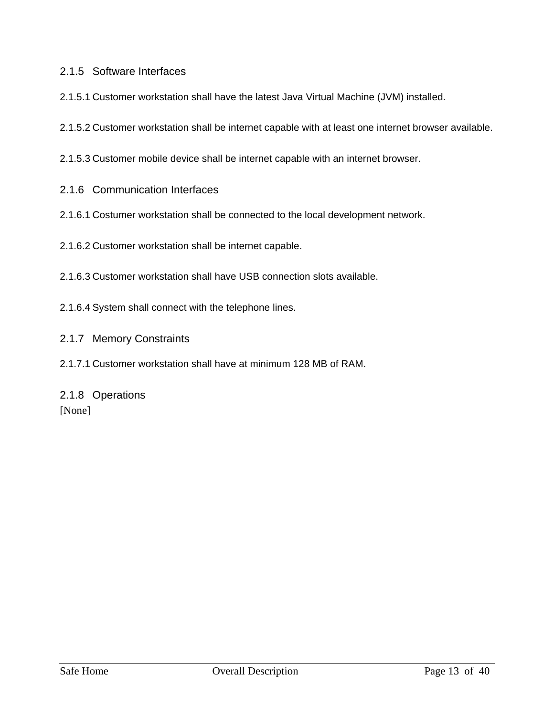### 2.1.5 Software Interfaces

- 2.1.5.1 Customer workstation shall have the latest Java Virtual Machine (JVM) installed.
- 2.1.5.2 Customer workstation shall be internet capable with at least one internet browser available.
- 2.1.5.3 Customer mobile device shall be internet capable with an internet browser.
- 2.1.6 Communication Interfaces
- 2.1.6.1 Costumer workstation shall be connected to the local development network.
- 2.1.6.2 Customer workstation shall be internet capable.
- 2.1.6.3 Customer workstation shall have USB connection slots available.
- 2.1.6.4 System shall connect with the telephone lines.
- 2.1.7 Memory Constraints
- 2.1.7.1 Customer workstation shall have at minimum 128 MB of RAM.

# 2.1.8 Operations [None]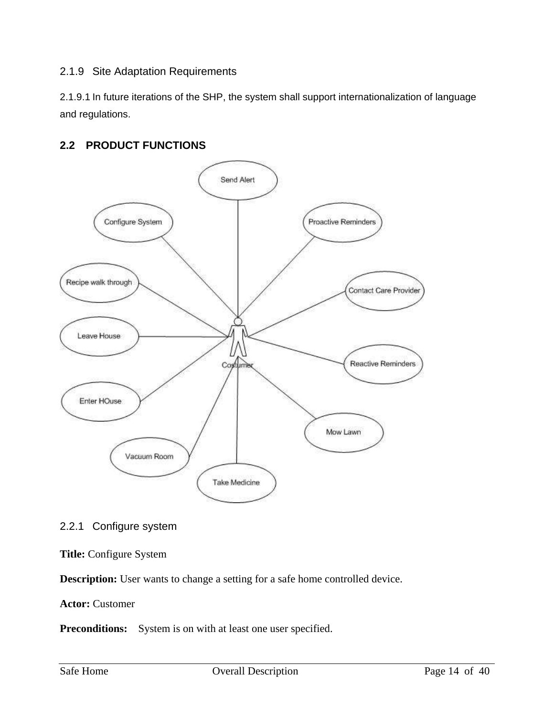### 2.1.9 Site Adaptation Requirements

2.1.9.1 In future iterations of the SHP, the system shall support internationalization of language and regulations.

# **2.2 PRODUCT FUNCTIONS**



2.2.1 Configure system

### **Title:** Configure System

**Description:** User wants to change a setting for a safe home controlled device.

### **Actor:** Customer

**Preconditions:** System is on with at least one user specified.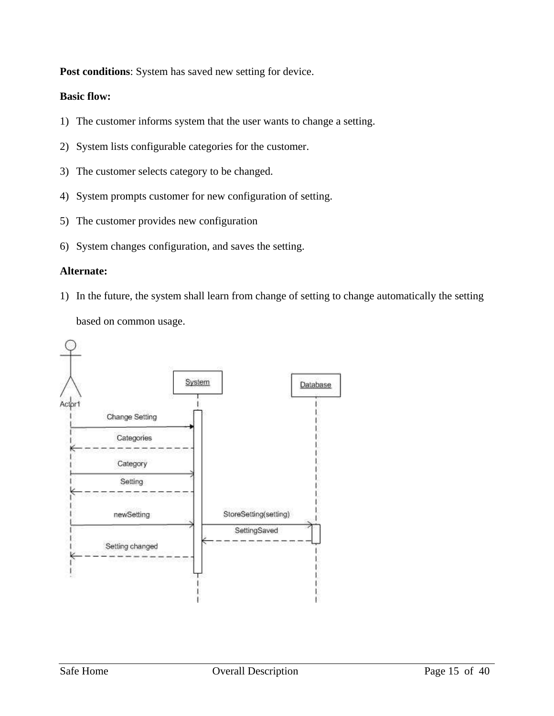**Post conditions**: System has saved new setting for device.

### **Basic flow:**

- 1) The customer informs system that the user wants to change a setting.
- 2) System lists configurable categories for the customer.
- 3) The customer selects category to be changed.
- 4) System prompts customer for new configuration of setting.
- 5) The customer provides new configuration
- 6) System changes configuration, and saves the setting.

### **Alternate:**

1) In the future, the system shall learn from change of setting to change automatically the setting based on common usage.

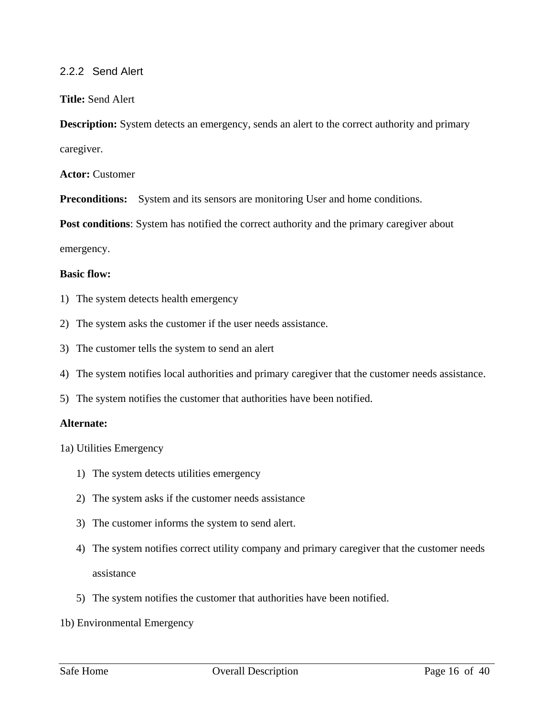### 2.2.2 Send Alert

#### **Title:** Send Alert

**Description:** System detects an emergency, sends an alert to the correct authority and primary caregiver.

**Actor:** Customer

**Preconditions:** System and its sensors are monitoring User and home conditions.

**Post conditions**: System has notified the correct authority and the primary caregiver about

emergency.

#### **Basic flow:**

- 1) The system detects health emergency
- 2) The system asks the customer if the user needs assistance.
- 3) The customer tells the system to send an alert
- 4) The system notifies local authorities and primary caregiver that the customer needs assistance.
- 5) The system notifies the customer that authorities have been notified.

#### **Alternate:**

- 1a) Utilities Emergency
	- 1) The system detects utilities emergency
	- 2) The system asks if the customer needs assistance
	- 3) The customer informs the system to send alert.
	- 4) The system notifies correct utility company and primary caregiver that the customer needs assistance
	- 5) The system notifies the customer that authorities have been notified.
- 1b) Environmental Emergency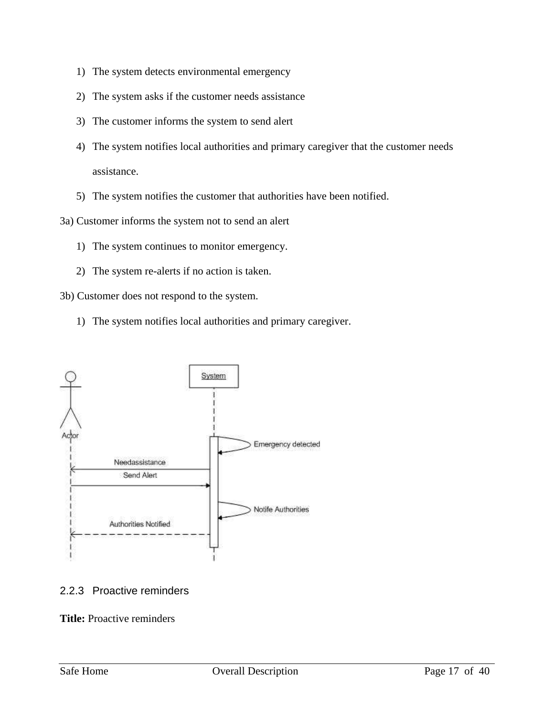- 1) The system detects environmental emergency
- 2) The system asks if the customer needs assistance
- 3) The customer informs the system to send alert
- 4) The system notifies local authorities and primary caregiver that the customer needs assistance.
- 5) The system notifies the customer that authorities have been notified.

3a) Customer informs the system not to send an alert

- 1) The system continues to monitor emergency.
- 2) The system re-alerts if no action is taken.

3b) Customer does not respond to the system.

1) The system notifies local authorities and primary caregiver.



### 2.2.3 Proactive reminders

**Title:** Proactive reminders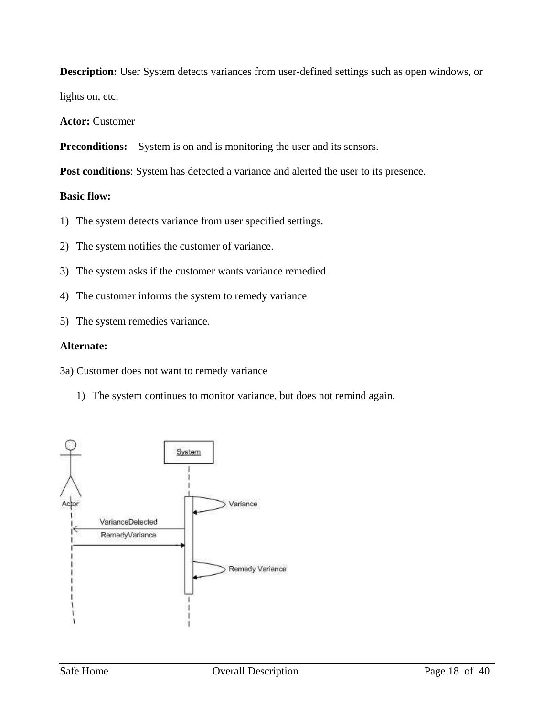**Description:** User System detects variances from user-defined settings such as open windows, or

lights on, etc.

**Actor:** Customer

**Preconditions:** System is on and is monitoring the user and its sensors.

Post conditions: System has detected a variance and alerted the user to its presence.

### **Basic flow:**

- 1) The system detects variance from user specified settings.
- 2) The system notifies the customer of variance.
- 3) The system asks if the customer wants variance remedied
- 4) The customer informs the system to remedy variance
- 5) The system remedies variance.

#### **Alternate:**

3a) Customer does not want to remedy variance

1) The system continues to monitor variance, but does not remind again.

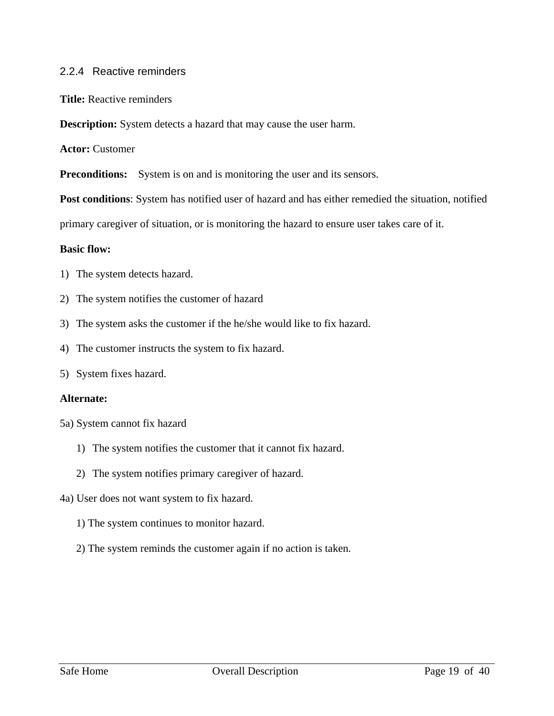### 2.2.4 Reactive reminders

**Title:** Reactive reminders

**Description:** System detects a hazard that may cause the user harm.

**Actor:** Customer

**Preconditions:** System is on and is monitoring the user and its sensors.

**Post conditions**: System has notified user of hazard and has either remedied the situation, notified

primary caregiver of situation, or is monitoring the hazard to ensure user takes care of it.

#### **Basic flow:**

- 1) The system detects hazard.
- 2) The system notifies the customer of hazard
- 3) The system asks the customer if the he/she would like to fix hazard.
- 4) The customer instructs the system to fix hazard.
- 5) System fixes hazard.

#### **Alternate:**

- 5a) System cannot fix hazard
	- 1) The system notifies the customer that it cannot fix hazard.
	- 2) The system notifies primary caregiver of hazard.
- 4a) User does not want system to fix hazard.
	- 1) The system continues to monitor hazard.
	- 2) The system reminds the customer again if no action is taken.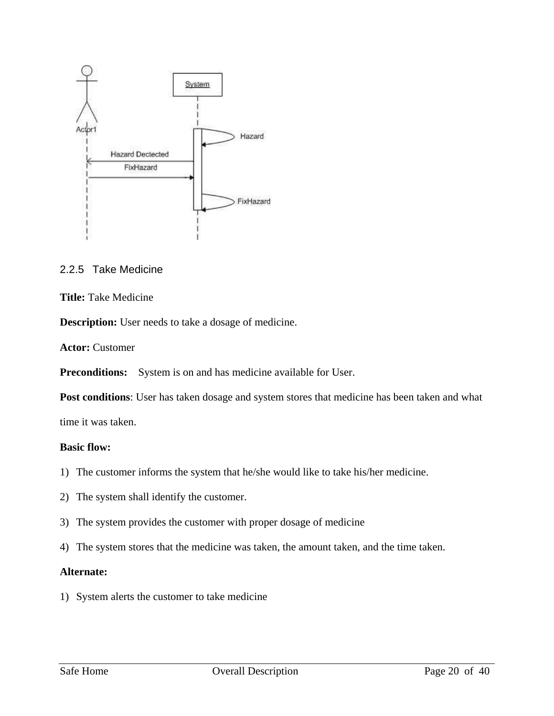

### 2.2.5 Take Medicine

### **Title:** Take Medicine

**Description:** User needs to take a dosage of medicine.

**Actor:** Customer

**Preconditions:** System is on and has medicine available for User.

**Post conditions**: User has taken dosage and system stores that medicine has been taken and what

time it was taken.

### **Basic flow:**

- 1) The customer informs the system that he/she would like to take his/her medicine.
- 2) The system shall identify the customer.
- 3) The system provides the customer with proper dosage of medicine
- 4) The system stores that the medicine was taken, the amount taken, and the time taken.

### **Alternate:**

1) System alerts the customer to take medicine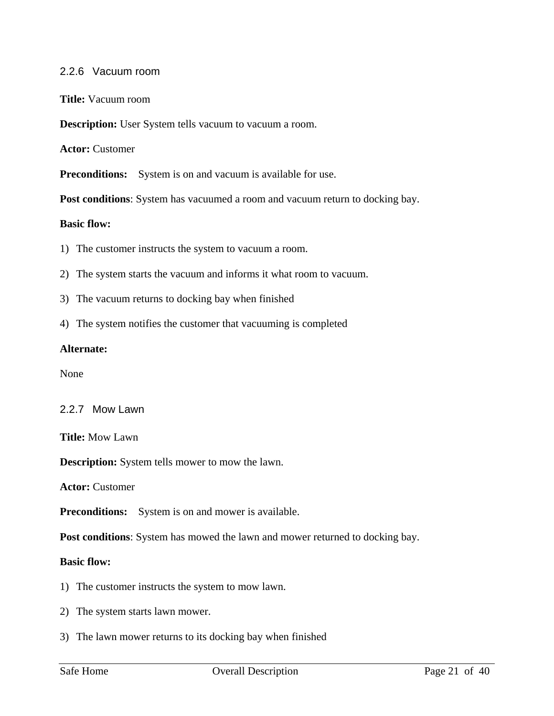### 2.2.6 Vacuum room

**Title:** Vacuum room

**Description:** User System tells vacuum to vacuum a room.

**Actor:** Customer

**Preconditions:** System is on and vacuum is available for use.

**Post conditions**: System has vacuumed a room and vacuum return to docking bay.

### **Basic flow:**

1) The customer instructs the system to vacuum a room.

- 2) The system starts the vacuum and informs it what room to vacuum.
- 3) The vacuum returns to docking bay when finished
- 4) The system notifies the customer that vacuuming is completed

### **Alternate:**

None

### 2.2.7 Mow Lawn

**Title:** Mow Lawn

**Description:** System tells mower to mow the lawn.

**Actor:** Customer

**Preconditions:** System is on and mower is available.

**Post conditions**: System has mowed the lawn and mower returned to docking bay.

#### **Basic flow:**

1) The customer instructs the system to mow lawn.

- 2) The system starts lawn mower.
- 3) The lawn mower returns to its docking bay when finished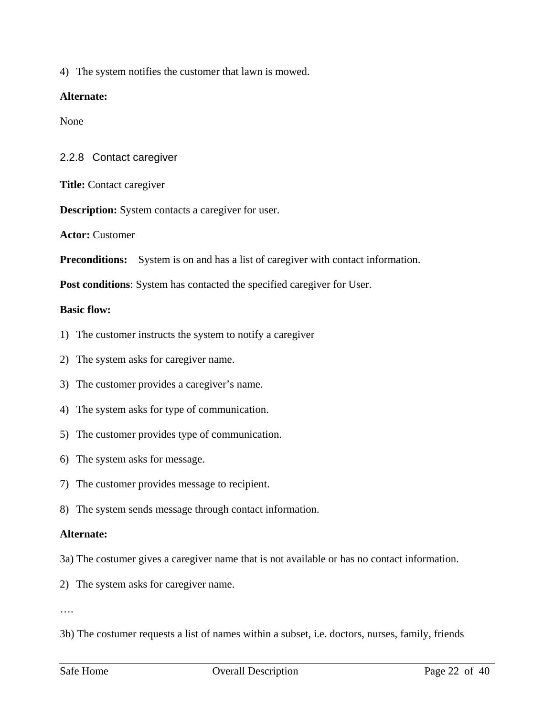4) The system notifies the customer that lawn is mowed.

### **Alternate:**

None

### 2.2.8 Contact caregiver

**Title:** Contact caregiver

**Description:** System contacts a caregiver for user.

**Actor:** Customer

**Preconditions:** System is on and has a list of caregiver with contact information.

**Post conditions**: System has contacted the specified caregiver for User.

### **Basic flow:**

- 1) The customer instructs the system to notify a caregiver
- 2) The system asks for caregiver name.
- 3) The customer provides a caregiver's name.
- 4) The system asks for type of communication.
- 5) The customer provides type of communication.
- 6) The system asks for message.
- 7) The customer provides message to recipient.
- 8) The system sends message through contact information.

### **Alternate:**

- 3a) The costumer gives a caregiver name that is not available or has no contact information.
- 2) The system asks for caregiver name.

….

3b) The costumer requests a list of names within a subset, i.e. doctors, nurses, family, friends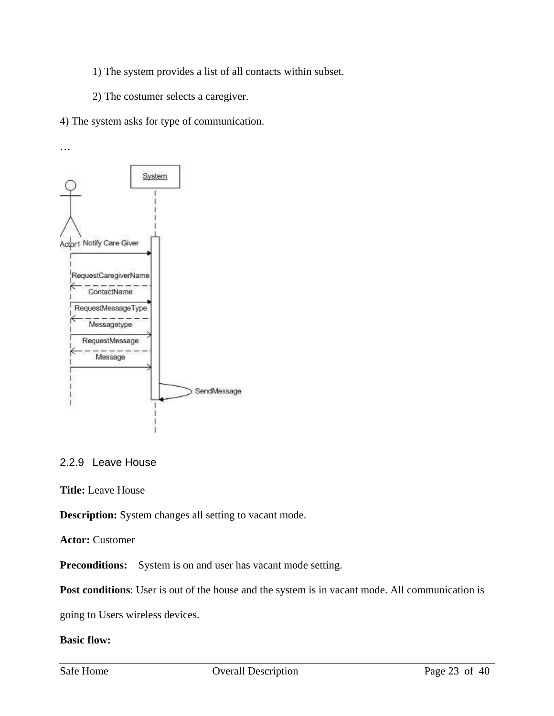- 1) The system provides a list of all contacts within subset.
- 2) The costumer selects a caregiver.
- 4) The system asks for type of communication.



### 2.2.9 Leave House

**Title:** Leave House

**Description:** System changes all setting to vacant mode.

**Actor:** Customer

**Preconditions:** System is on and user has vacant mode setting.

Post conditions: User is out of the house and the system is in vacant mode. All communication is

going to Users wireless devices.

### **Basic flow:**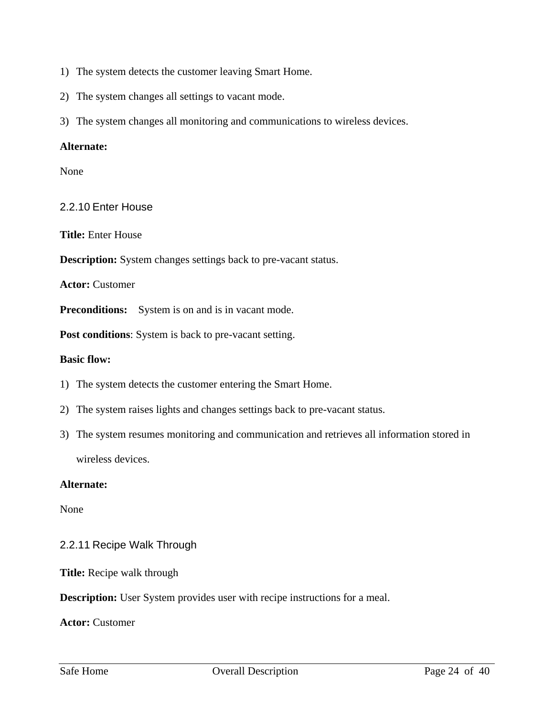- 1) The system detects the customer leaving Smart Home.
- 2) The system changes all settings to vacant mode.
- 3) The system changes all monitoring and communications to wireless devices.

### **Alternate:**

None

### 2.2.10 Enter House

**Title:** Enter House

**Description:** System changes settings back to pre-vacant status.

**Actor:** Customer

**Preconditions:** System is on and is in vacant mode.

**Post conditions**: System is back to pre-vacant setting.

#### **Basic flow:**

- 1) The system detects the customer entering the Smart Home.
- 2) The system raises lights and changes settings back to pre-vacant status.
- 3) The system resumes monitoring and communication and retrieves all information stored in wireless devices.

#### **Alternate:**

None

### 2.2.11 Recipe Walk Through

**Title:** Recipe walk through

**Description:** User System provides user with recipe instructions for a meal.

**Actor:** Customer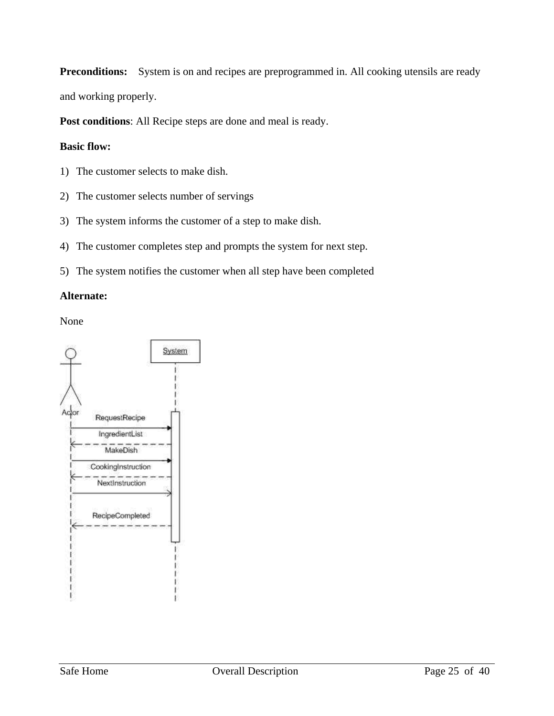Preconditions: System is on and recipes are preprogrammed in. All cooking utensils are ready

and working properly.

**Post conditions**: All Recipe steps are done and meal is ready.

### **Basic flow:**

- 1) The customer selects to make dish.
- 2) The customer selects number of servings
- 3) The system informs the customer of a step to make dish.
- 4) The customer completes step and prompts the system for next step.
- 5) The system notifies the customer when all step have been completed

### **Alternate:**

None

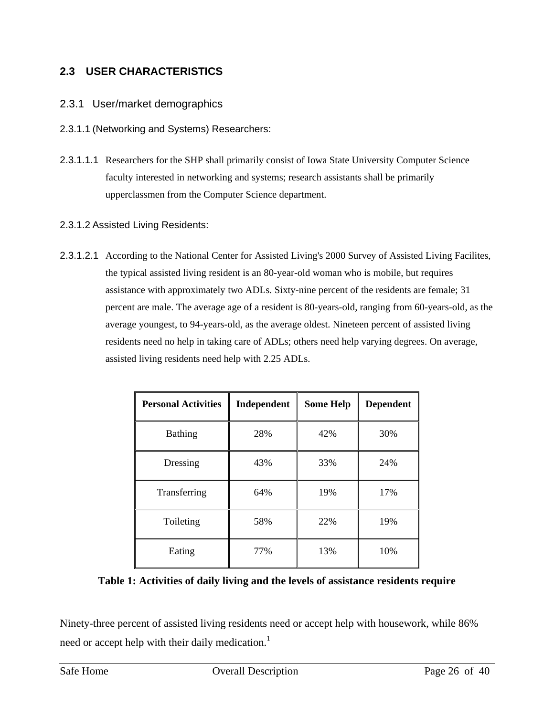# **2.3 USER CHARACTERISTICS**

### 2.3.1 User/market demographics

- 2.3.1.1 (Networking and Systems) Researchers:
- 2.3.1.1.1 Researchers for the SHP shall primarily consist of Iowa State University Computer Science faculty interested in networking and systems; research assistants shall be primarily upperclassmen from the Computer Science department.

### 2.3.1.2 Assisted Living Residents:

2.3.1.2.1 According to the National Center for Assisted Living's 2000 Survey of Assisted Living Facilites, the typical assisted living resident is an 80-year-old woman who is mobile, but requires assistance with approximately two ADLs. Sixty-nine percent of the residents are female; 31 percent are male. The average age of a resident is 80-years-old, ranging from 60-years-old, as the average youngest, to 94-years-old, as the average oldest. Nineteen percent of assisted living residents need no help in taking care of ADLs; others need help varying degrees. On average, assisted living residents need help with 2.25 ADLs.

| <b>Personal Activities</b> | Independent | <b>Some Help</b> | <b>Dependent</b> |
|----------------------------|-------------|------------------|------------------|
| Bathing                    | 28%         | 42%              | 30%              |
| Dressing                   | 43%         | 33%              | 24%              |
| Transferring               | 64%         | 19%              | 17%              |
| Toileting                  | 58%         | 22%              | 19%              |
| Eating                     | 77%         | 13%              | 10%              |

### **Table 1: Activities of daily living and the levels of assistance residents require**

Ninety-three percent of assisted living residents need or accept help with housework, while 86% need or accept help with their daily medication.<sup>1</sup>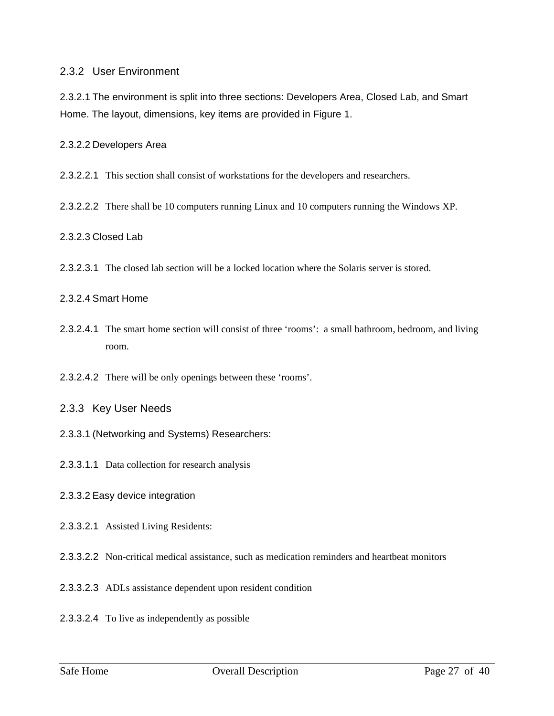### 2.3.2 User Environment

2.3.2.1 The environment is split into three sections: Developers Area, Closed Lab, and Smart Home. The layout, dimensions, key items are provided in Figure 1.

2.3.2.2 Developers Area

2.3.2.2.1 This section shall consist of workstations for the developers and researchers.

2.3.2.2.2 There shall be 10 computers running Linux and 10 computers running the Windows XP.

#### 2.3.2.3 Closed Lab

2.3.2.3.1 The closed lab section will be a locked location where the Solaris server is stored.

#### 2.3.2.4 Smart Home

- 2.3.2.4.1 The smart home section will consist of three 'rooms': a small bathroom, bedroom, and living room.
- 2.3.2.4.2 There will be only openings between these 'rooms'.
- 2.3.3 Key User Needs
- 2.3.3.1 (Networking and Systems) Researchers:
- 2.3.3.1.1 Data collection for research analysis
- 2.3.3.2 Easy device integration
- 2.3.3.2.1 Assisted Living Residents:
- 2.3.3.2.2 Non-critical medical assistance, such as medication reminders and heartbeat monitors
- 2.3.3.2.3 ADLs assistance dependent upon resident condition
- 2.3.3.2.4 To live as independently as possible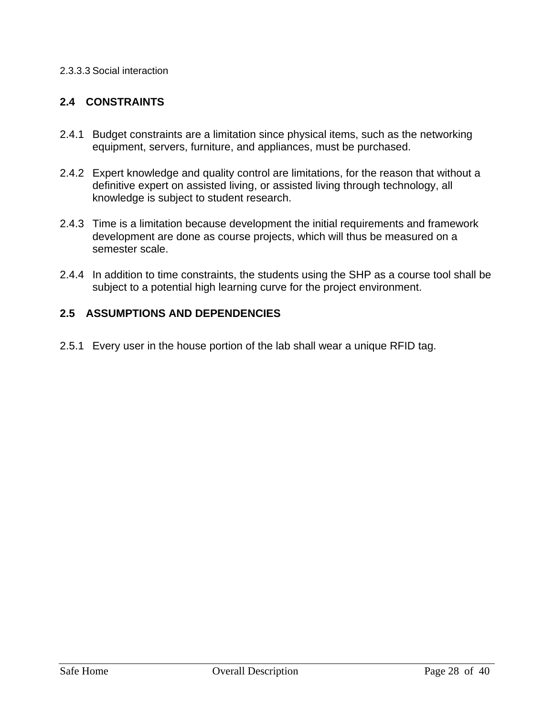### 2.3.3.3 Social interaction

# **2.4 CONSTRAINTS**

- 2.4.1 Budget constraints are a limitation since physical items, such as the networking equipment, servers, furniture, and appliances, must be purchased.
- 2.4.2 Expert knowledge and quality control are limitations, for the reason that without a definitive expert on assisted living, or assisted living through technology, all knowledge is subject to student research.
- 2.4.3 Time is a limitation because development the initial requirements and framework development are done as course projects, which will thus be measured on a semester scale.
- 2.4.4 In addition to time constraints, the students using the SHP as a course tool shall be subject to a potential high learning curve for the project environment.

## **2.5 ASSUMPTIONS AND DEPENDENCIES**

2.5.1 Every user in the house portion of the lab shall wear a unique RFID tag.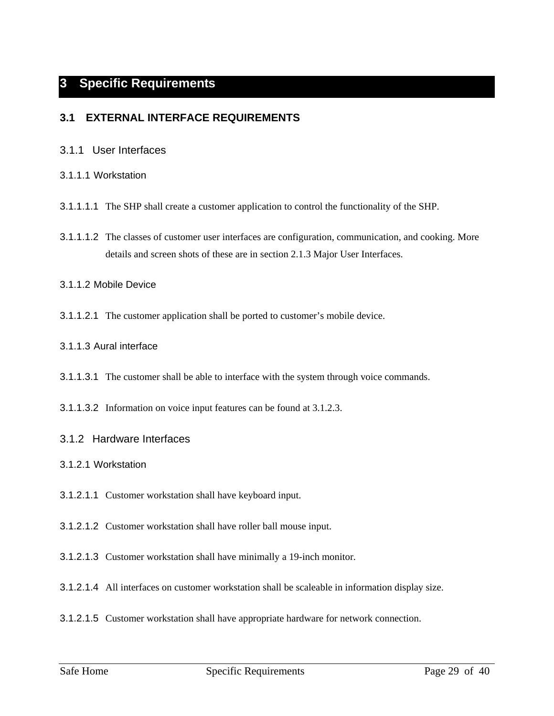# **3 Specific Requirements**

### **3.1 EXTERNAL INTERFACE REQUIREMENTS**

#### 3.1.1 User Interfaces

#### 3.1.1.1 Workstation

- 3.1.1.1.1 The SHP shall create a customer application to control the functionality of the SHP.
- 3.1.1.1.2 The classes of customer user interfaces are configuration, communication, and cooking. More details and screen shots of these are in section 2.1.3 Major User Interfaces.

#### 3.1.1.2 Mobile Device

3.1.1.2.1 The customer application shall be ported to customer's mobile device.

#### 3.1.1.3 Aural interface

- 3.1.1.3.1 The customer shall be able to interface with the system through voice commands.
- 3.1.1.3.2 Information on voice input features can be found at 3.1.2.3.

#### 3.1.2 Hardware Interfaces

- 3.1.2.1 Workstation
- 3.1.2.1.1 Customer workstation shall have keyboard input.
- 3.1.2.1.2 Customer workstation shall have roller ball mouse input.
- 3.1.2.1.3 Customer workstation shall have minimally a 19-inch monitor.
- 3.1.2.1.4 All interfaces on customer workstation shall be scaleable in information display size.
- 3.1.2.1.5 Customer workstation shall have appropriate hardware for network connection.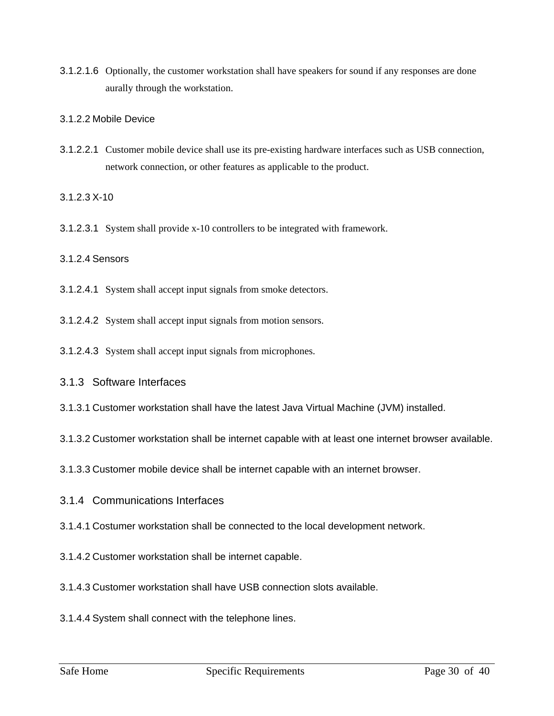3.1.2.1.6 Optionally, the customer workstation shall have speakers for sound if any responses are done aurally through the workstation.

#### 3.1.2.2 Mobile Device

3.1.2.2.1 Customer mobile device shall use its pre-existing hardware interfaces such as USB connection, network connection, or other features as applicable to the product.

3.1.2.3 X-10

3.1.2.3.1 System shall provide x-10 controllers to be integrated with framework.

### 3.1.2.4 Sensors

- 3.1.2.4.1 System shall accept input signals from smoke detectors.
- 3.1.2.4.2 System shall accept input signals from motion sensors.
- 3.1.2.4.3 System shall accept input signals from microphones.
- 3.1.3 Software Interfaces
- 3.1.3.1 Customer workstation shall have the latest Java Virtual Machine (JVM) installed.
- 3.1.3.2 Customer workstation shall be internet capable with at least one internet browser available.
- 3.1.3.3 Customer mobile device shall be internet capable with an internet browser.
- 3.1.4 Communications Interfaces
- 3.1.4.1 Costumer workstation shall be connected to the local development network.
- 3.1.4.2 Customer workstation shall be internet capable.
- 3.1.4.3 Customer workstation shall have USB connection slots available.
- 3.1.4.4 System shall connect with the telephone lines.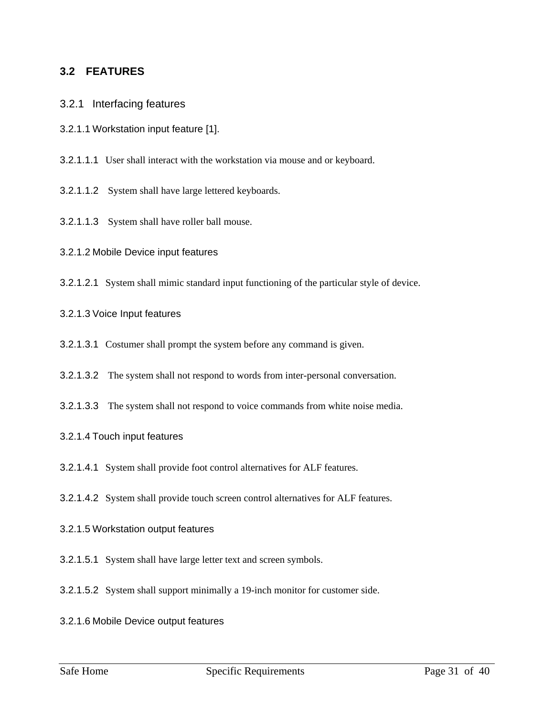### **3.2 FEATURES**

- 3.2.1 Interfacing features
- 3.2.1.1 Workstation input feature [1].
- 3.2.1.1.1 User shall interact with the workstation via mouse and or keyboard.
- 3.2.1.1.2 System shall have large lettered keyboards.
- 3.2.1.1.3 System shall have roller ball mouse.
- 3.2.1.2 Mobile Device input features
- 3.2.1.2.1 System shall mimic standard input functioning of the particular style of device.
- 3.2.1.3 Voice Input features
- 3.2.1.3.1 Costumer shall prompt the system before any command is given.
- 3.2.1.3.2 The system shall not respond to words from inter-personal conversation.
- 3.2.1.3.3 The system shall not respond to voice commands from white noise media.

#### 3.2.1.4 Touch input features

- 3.2.1.4.1 System shall provide foot control alternatives for ALF features.
- 3.2.1.4.2 System shall provide touch screen control alternatives for ALF features.
- 3.2.1.5 Workstation output features
- 3.2.1.5.1 System shall have large letter text and screen symbols.
- 3.2.1.5.2 System shall support minimally a 19-inch monitor for customer side.
- 3.2.1.6 Mobile Device output features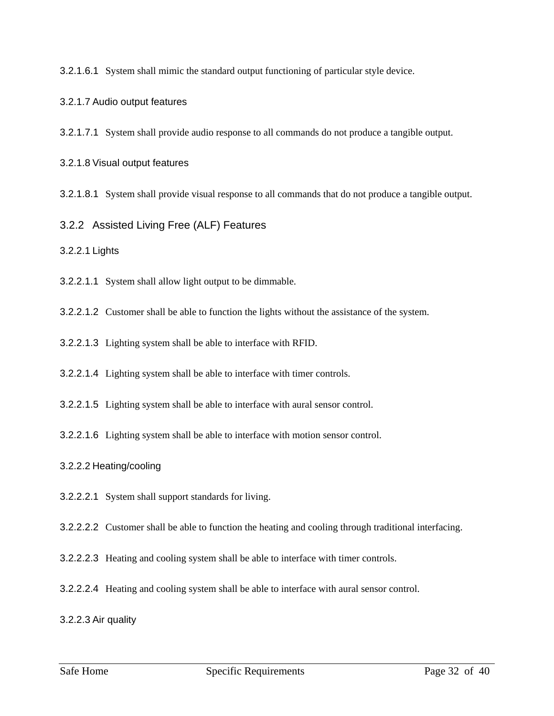3.2.1.6.1 System shall mimic the standard output functioning of particular style device.

#### 3.2.1.7 Audio output features

3.2.1.7.1 System shall provide audio response to all commands do not produce a tangible output.

#### 3.2.1.8 Visual output features

3.2.1.8.1 System shall provide visual response to all commands that do not produce a tangible output.

3.2.2 Assisted Living Free (ALF) Features

3.2.2.1 Lights

3.2.2.1.1 System shall allow light output to be dimmable.

3.2.2.1.2 Customer shall be able to function the lights without the assistance of the system.

3.2.2.1.3 Lighting system shall be able to interface with RFID.

3.2.2.1.4 Lighting system shall be able to interface with timer controls.

3.2.2.1.5 Lighting system shall be able to interface with aural sensor control.

3.2.2.1.6 Lighting system shall be able to interface with motion sensor control.

#### 3.2.2.2 Heating/cooling

3.2.2.2.1 System shall support standards for living.

3.2.2.2.2 Customer shall be able to function the heating and cooling through traditional interfacing.

3.2.2.2.3 Heating and cooling system shall be able to interface with timer controls.

3.2.2.2.4 Heating and cooling system shall be able to interface with aural sensor control.

3.2.2.3 Air quality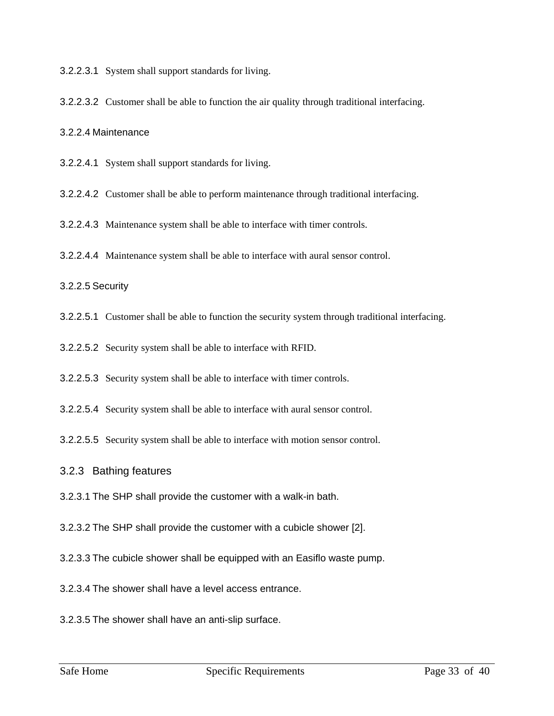3.2.2.3.1 System shall support standards for living.

3.2.2.3.2 Customer shall be able to function the air quality through traditional interfacing.

3.2.2.4 Maintenance

3.2.2.4.1 System shall support standards for living.

3.2.2.4.2 Customer shall be able to perform maintenance through traditional interfacing.

3.2.2.4.3 Maintenance system shall be able to interface with timer controls.

3.2.2.4.4 Maintenance system shall be able to interface with aural sensor control.

3.2.2.5 Security

3.2.2.5.1 Customer shall be able to function the security system through traditional interfacing.

3.2.2.5.2 Security system shall be able to interface with RFID.

3.2.2.5.3 Security system shall be able to interface with timer controls.

3.2.2.5.4 Security system shall be able to interface with aural sensor control.

3.2.2.5.5 Security system shall be able to interface with motion sensor control.

#### 3.2.3 Bathing features

3.2.3.1 The SHP shall provide the customer with a walk-in bath.

3.2.3.2 The SHP shall provide the customer with a cubicle shower [2].

3.2.3.3 The cubicle shower shall be equipped with an Easiflo waste pump.

3.2.3.4 The shower shall have a level access entrance.

3.2.3.5 The shower shall have an anti-slip surface.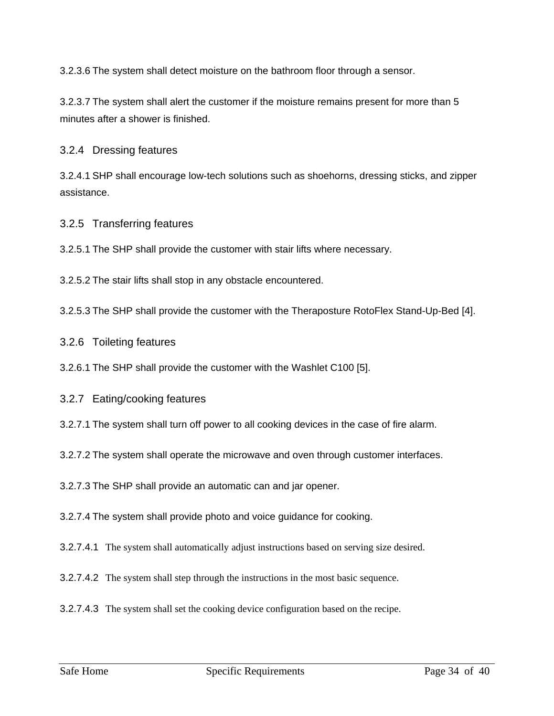3.2.3.6 The system shall detect moisture on the bathroom floor through a sensor.

3.2.3.7 The system shall alert the customer if the moisture remains present for more than 5 minutes after a shower is finished.

3.2.4 Dressing features

3.2.4.1 SHP shall encourage low-tech solutions such as shoehorns, dressing sticks, and zipper assistance.

3.2.5 Transferring features

3.2.5.1 The SHP shall provide the customer with stair lifts where necessary.

3.2.5.2 The stair lifts shall stop in any obstacle encountered.

3.2.5.3 The SHP shall provide the customer with the Theraposture RotoFlex Stand-Up-Bed [4].

3.2.6 Toileting features

3.2.6.1 The SHP shall provide the customer with the Washlet C100 [5].

3.2.7 Eating/cooking features

3.2.7.1 The system shall turn off power to all cooking devices in the case of fire alarm.

3.2.7.2 The system shall operate the microwave and oven through customer interfaces.

3.2.7.3 The SHP shall provide an automatic can and jar opener.

3.2.7.4 The system shall provide photo and voice guidance for cooking.

3.2.7.4.1 The system shall automatically adjust instructions based on serving size desired.

3.2.7.4.2 The system shall step through the instructions in the most basic sequence.

3.2.7.4.3 The system shall set the cooking device configuration based on the recipe.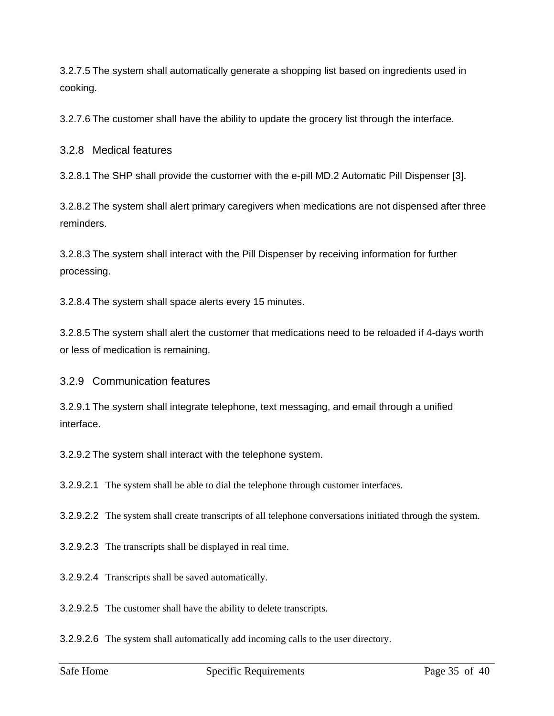3.2.7.5 The system shall automatically generate a shopping list based on ingredients used in cooking.

3.2.7.6 The customer shall have the ability to update the grocery list through the interface.

3.2.8 Medical features

3.2.8.1 The SHP shall provide the customer with the e-pill MD.2 Automatic Pill Dispenser [3].

3.2.8.2 The system shall alert primary caregivers when medications are not dispensed after three reminders.

3.2.8.3 The system shall interact with the Pill Dispenser by receiving information for further processing.

3.2.8.4 The system shall space alerts every 15 minutes.

3.2.8.5 The system shall alert the customer that medications need to be reloaded if 4-days worth or less of medication is remaining.

3.2.9 Communication features

3.2.9.1 The system shall integrate telephone, text messaging, and email through a unified interface.

3.2.9.2 The system shall interact with the telephone system.

3.2.9.2.1 The system shall be able to dial the telephone through customer interfaces.

3.2.9.2.2 The system shall create transcripts of all telephone conversations initiated through the system.

3.2.9.2.3 The transcripts shall be displayed in real time.

3.2.9.2.4 Transcripts shall be saved automatically.

3.2.9.2.5 The customer shall have the ability to delete transcripts.

3.2.9.2.6 The system shall automatically add incoming calls to the user directory.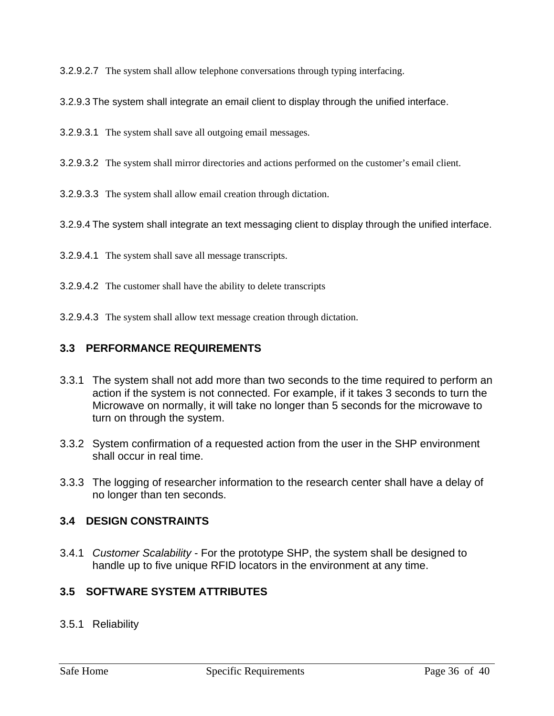3.2.9.2.7 The system shall allow telephone conversations through typing interfacing.

3.2.9.3 The system shall integrate an email client to display through the unified interface.

- 3.2.9.3.1 The system shall save all outgoing email messages.
- 3.2.9.3.2 The system shall mirror directories and actions performed on the customer's email client.

3.2.9.3.3 The system shall allow email creation through dictation.

3.2.9.4 The system shall integrate an text messaging client to display through the unified interface.

- 3.2.9.4.1 The system shall save all message transcripts.
- 3.2.9.4.2 The customer shall have the ability to delete transcripts
- 3.2.9.4.3 The system shall allow text message creation through dictation.

### **3.3 PERFORMANCE REQUIREMENTS**

- 3.3.1 The system shall not add more than two seconds to the time required to perform an action if the system is not connected. For example, if it takes 3 seconds to turn the Microwave on normally, it will take no longer than 5 seconds for the microwave to turn on through the system.
- 3.3.2 System confirmation of a requested action from the user in the SHP environment shall occur in real time.
- 3.3.3 The logging of researcher information to the research center shall have a delay of no longer than ten seconds.

### **3.4 DESIGN CONSTRAINTS**

3.4.1 Customer Scalability - For the prototype SHP, the system shall be designed to handle up to five unique RFID locators in the environment at any time.

### **3.5 SOFTWARE SYSTEM ATTRIBUTES**

3.5.1 Reliability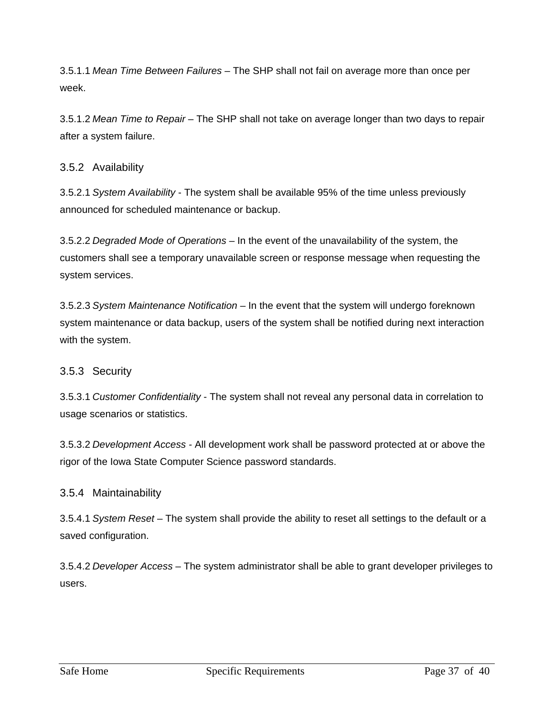3.5.1.1 Mean Time Between Failures – The SHP shall not fail on average more than once per week.

3.5.1.2 Mean Time to Repair – The SHP shall not take on average longer than two days to repair after a system failure.

### 3.5.2 Availability

3.5.2.1 System Availability - The system shall be available 95% of the time unless previously announced for scheduled maintenance or backup.

3.5.2.2 Degraded Mode of Operations – In the event of the unavailability of the system, the customers shall see a temporary unavailable screen or response message when requesting the system services.

3.5.2.3 System Maintenance Notification – In the event that the system will undergo foreknown system maintenance or data backup, users of the system shall be notified during next interaction with the system.

### 3.5.3 Security

3.5.3.1 Customer Confidentiality - The system shall not reveal any personal data in correlation to usage scenarios or statistics.

3.5.3.2 Development Access - All development work shall be password protected at or above the rigor of the Iowa State Computer Science password standards.

### 3.5.4 Maintainability

3.5.4.1 System Reset – The system shall provide the ability to reset all settings to the default or a saved configuration.

3.5.4.2 Developer Access – The system administrator shall be able to grant developer privileges to users.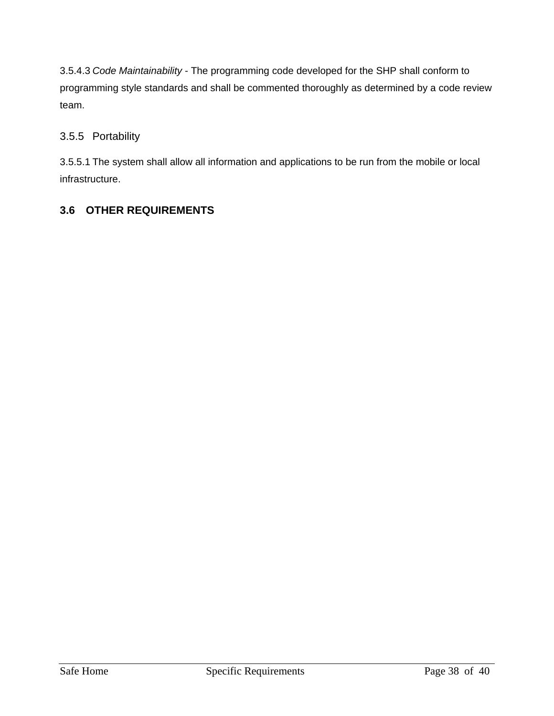3.5.4.3 Code Maintainability - The programming code developed for the SHP shall conform to programming style standards and shall be commented thoroughly as determined by a code review team.

# 3.5.5 Portability

3.5.5.1 The system shall allow all information and applications to be run from the mobile or local infrastructure.

# **3.6 OTHER REQUIREMENTS**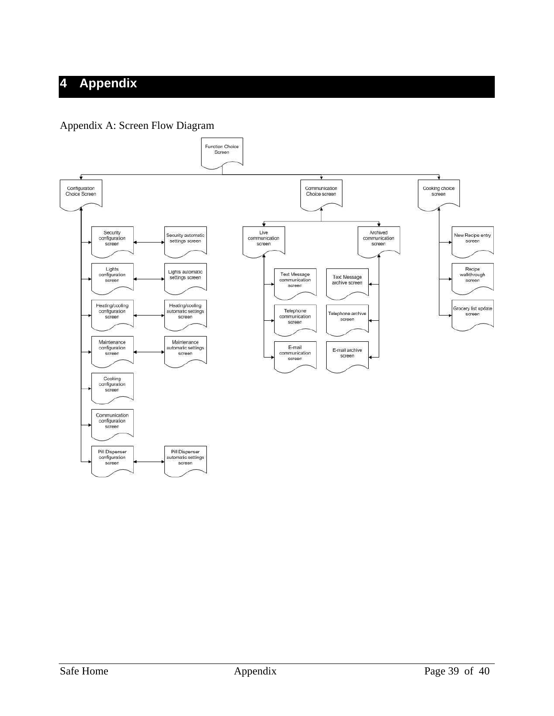# **4 Appendix**

### Appendix A: Screen Flow Diagram